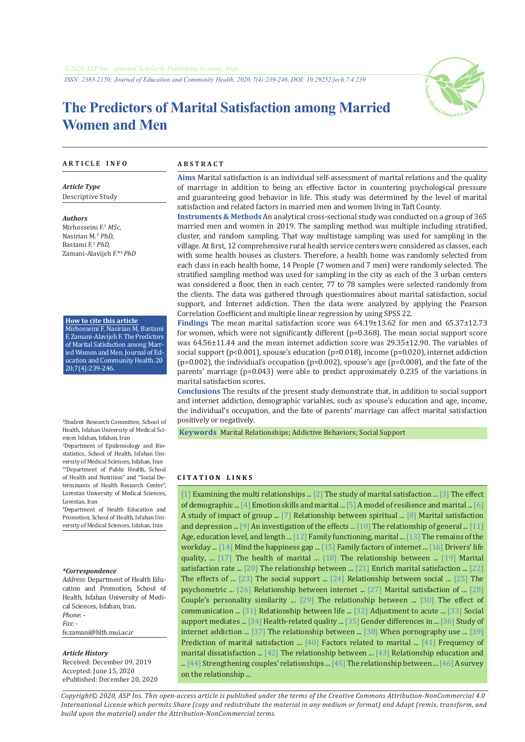

# **The Predictors of Marital Satisfaction among Married Women and Men**

#### **A R T I C L E I N F O A B S T R A C T**

*Article Type* Descriptive Study

*Authors* Mirhosseini F.<sup>1</sup> *MSc,* Nasirian M.2  *PhD,*  Bastami F.<sup>3</sup> *PhD,* Zamani-Alavijeh F.\*<sup>4</sup>*PhD*

**How to cite this article** Mirhosseini F, Nasirian M, Bastami F, Zamani-Alavijeh F. The Predictors of Marital Satisfaction among Married Women and Men. Journal of Education and Community Health.20 20;7(4):239-246.

1 Student Research Committee, School of Health, Isfahan University of Medical Sciences Isfahan, Isfahan, Iran

2 Department of Epidemiology and Biostatistics, School of Health, Isfahan University of Medical Sciences, Isfahan, Iran 3 "Department of Public Health, School of Health and Nutrition" and "Social Determinants of Health Research Center", Lorestan University of Medical Sciences, Lorestan, Iran

4 Department of Health Education and Promotion, School of Health, Isfahan University of Medical Sciences, Isfahan, Iran

#### *\*Correspondence*

*Address*: Department of Health Education and Promotion, School of Health, Isfahan University of Medical Sciences, Isfahan, Iran. *Phone*: - *Fax*: fe.zamani@hlth.mui.ac.ir

#### *Article History*

Received: December 09, 2019 Accepted: June 15, 2020 ePublished: December 20, 2020

**Aims** Marital satisfaction is an individual self-assessment of marital relations and the quality of marriage in addition to being an effective factor in countering psychological pressure and guaranteeing good behavior in life. This study was determined by the level of marital satisfaction and related factors in married men and women living in Taft County.

**Instruments & Methods** An analytical cross-sectional study was conducted on a group of 365 married men and women in 2019. The sampling method was multiple including stratified, cluster, and random sampling. That way multistage sampling was used for sampling in the village. At first, 12 comprehensive rural health service centers were considered as classes, each with some health houses as clusters. Therefore, a health home was randomly selected from each class in each health home, 14 People (7 women and 7 men) were randomly selected. The stratified sampling method was used for sampling in the city as each of the 3 urban centers was considered a floor, then in each center, 77 to 78 samples were selected randomly from the clients. The data was gathered through questionnaires about marital satisfaction, social support, and Internet addiction. Then the data were analyzed by applying the Pearson Correlation Coefficient and multiple linear regression by using SPSS 22.

**Findings** The mean marital satisfaction score was 64.19±13.62 for men and 65.37±12.73 for women, which were not significantly different (p=0.368). The mean social support score was 64.56±11.44 and the mean internet addiction score was 29.35±12.90. The variables of social support ( $p<0.001$ ), spouse's education ( $p=0.018$ ), income ( $p=0.020$ ), internet addiction  $(p=0.002)$ , the individual's occupation  $(p=0.002)$ , spouse's age  $(p=0.008)$ , and the fate of the parents' marriage (p=0.043) were able to predict approximately 0.235 of the variations in marital satisfaction scores.

**Conclusions** The results of the present study demonstrate that, in addition to social support and internet addiction, demographic variables, such as spouse's education and age, income, the individual's occupation, and the fate of parents' marriage can affect marital satisfaction positively or negatively.

 **Keywords** [Marital Relationships](https://www.ncbi.nlm.nih.gov/mesh/68008393); [Addictive Behaviors;](https://www.ncbi.nlm.nih.gov/mesh/68016739) [Social Support](https://www.ncbi.nlm.nih.gov/mesh/68012944) 

# **C I T A T I O N L I N K S**

[[1\]](https://www.sid.ir/en/journal/ViewPaper.aspx?ID=579837) Examining the multi relationships ... [[2](https://jwsps.alzahra.ac.ir/article_1940_en.html)] The study of marital satisfaction ... [[3\]](http://www.jwss.ir/article_51748_en.html) The effect of demographic ... [\[4](https://psycnet.apa.org/record/2007-18580-001)] Emotion skills and marital ... [\[5](https://www.tandfonline.com/doi/abs/10.1080/00224545.2016.1254592)] A model of resilience and marital ... [[6\]](http://journal.gums.ac.ir/browse.php?a_id=123&sid=1&slc_lang=en) A study of impact of group ... [\[7](http://jbums.org/article-1-6568-en.html)] Relationship between spiritual ... [\[8](https://pubmed.ncbi.nlm.nih.gov/31645870/)] Marital satisfaction and depression ... [\[9](https://bmcwomenshealth.biomedcentral.com/articles/10.1186/s12905-019-0805-3 )] An investigation of the effects ... [[10\]](https://www.researchgate.net/publication/324530737) The relationship of general ... [[11\]](https://core.ac.uk/reader/48844140) Age, education level, and length ... [[12](https://pubmed.ncbi.nlm.nih.gov/24470353/)] Family functioning, marital ... [\[13\]](https://www.jstor.org/stable/3599813?seq=1) The remains of the workday ... [\[14](https://pubmed.ncbi.nlm.nih.gov/31290087/)] Mind the happiness gap ... [[15\]](https://pubmed.ncbi.nlm.nih.gov/17594255/) Family factors of internet ... [\[16\]](http://jhr.ssu.ac.ir/browse.php?a_code=A-10-1117-12&slc_lang=en&sid=1) Drivers' life quality, ... [\[17](http://jech.umsha.ac.ir/browse.php?a_id=681&slc_lang=en&sid=1&printcase=1&hbnr=1&hmb=1)] The health of marital ... [\[18](https://www.magiran.com/paper/1755977?lang=en)] The relationship between ... [\[19](http://sbrh.ssu.ac.ir/browse.php?a_code=A-10-25-1&slc_lang=en&sid=1)] Marital satisfaction rate ... [[20\]](https://journals.sbmu.ac.ir/en-jnm/article/view/15728) The relationship between ... [\[21](https://b2n.ir/788837)] Enrich marital satisfaction ... [[22\]](https://b2n.ir/555337) The effects of ... [[23\]](https://onlinelibrary.wiley.com/doi/abs/10.1007/BF00911821) The social support ... [[24\]](https://www.sid.ir/en/Journal/ViewPaper.aspx?ID=264222) Relationship between social ... [\[25\]](https://pubmed.ncbi.nlm.nih.gov/15331031/) The psychometric ... [[26\]](https://www.sid.ir/en/Journal/ViewPaper.aspx?ID=606146) Relationship between internet ... [\[27](http://hnmj.gums.ac.ir/article-1-227-fa.html)] Marital satisfaction of ... [[28\]](https://www.sid.ir/en/journal/ViewPaper.aspx?id=522908) Couple's personality similarity ... [\[29](https://www.sid.ir/en/journal/ViewPaper.aspx?id=189915)] The relationship between ... [[30\]](https://www.sid.ir/en/journal/ViewPaper.aspx?id=541195) The effect of communication ... [\[31](https://www.sid.ir/en/Journal/ViewPaper.aspx?ID=410598)] Relationship between life ... [[32\]](https://pubmed.ncbi.nlm.nih.gov/27424023/) Adjustment to acute ... [\[33\]](https://pubmed.ncbi.nlm.nih.gov/20939626/) Social support mediates ... [\[34](https://link.springer.com/article/10.1007/s11482-012-9190-x)] Health-related quality ... [[35\]](https://pubmed.ncbi.nlm.nih.gov/7965614/) Gender differences in ... [[36\]](https://www.sid.ir/en/journal/ViewPaper.aspx?id=571296) Study of internet addiction ... [\[37](http://jep.atu.ac.ir/article_8900_en.html)] The relationship between ... [\[38\]](https://pubmed.ncbi.nlm.nih.gov/29281588/) When pornography use ... [[39\]](https://www.ncbi.nlm.nih.gov/pmc/articles/PMC5770530/) Prediction of marital satisfaction ... [\[40\]](https://pubmed.ncbi.nlm.nih.gov/23408655/) Factors related to marital ... [\[41](https://www.magiran.com/paper/1332839?lang=en)] Frequency of marital dissatisfaction ... [\[42](http://journal.ihepsa.ir/browse.php?a_id=539&sid=1&slc_lang=en)] The relationship between ... [\[43](https://pubmed.ncbi.nlm.nih.gov/26236959/)] Relationship education and ... [\[44](https://pubmed.ncbi.nlm.nih.gov/18729664/)] Strengthening couples' relationships ... [\[45](http://militarymedj.ir/browse.php?a_id=95&sid=1&slc_lang=fa)] The relationship between ... [[46](https://www.sid.ir/en/Journal/ViewPaper.aspx?ID=184603)] A survey on the relationship ...

*Copyright© 2020, ASP Ins. This open-access article is published under the terms of the Creative Commons Attribution-NonCommercial 4.0 International License which permits Share (copy and redistribute the material in any medium or format) and Adapt (remix, transform, and build upon the material) under the Attribution-NonCommercial terms.*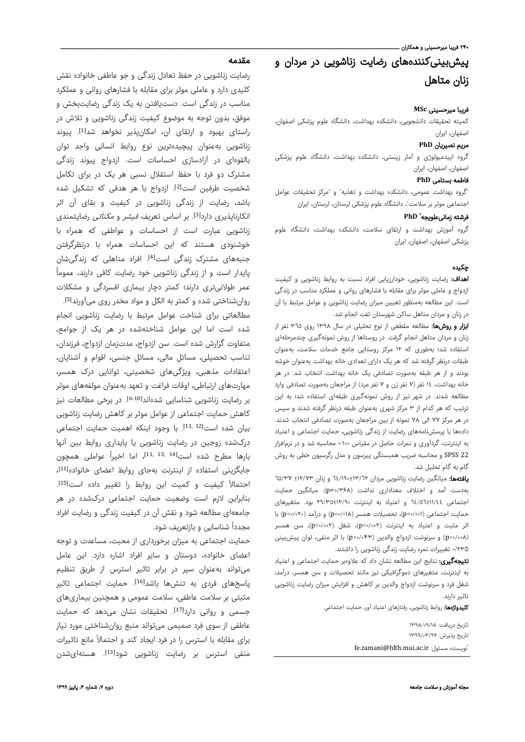#### ۲۴۰ فریبا میرحسینی و همکاران ـ

# پیشبینیکنندههای رضایت زناشویی در مردان و زنان متاهل

# فریبا میرحسینی **MSc**

کمیته تحقیقات دانشجویی، دانشکده بهداشت، دانشگاه علوم پزشکی اصفهان، اصفهان، ایران

### مریم نصیریان **PhD**

گروه اپیدمیولوژی و آمار زیستی، دانشکده بهداشت، دانشگاه علوم پزشکی اصفهان، اصفهان، ایران

#### فاطمه بستامی **PhD**

"گروه بهداشت عمومی، دانشکده بهداشت و تغذیه" و "مرکز تحقیقات عوامل اجتماعی موثر بر سلامت"، دانشگاه علوم پزشکی لرستان، لرستان، ایران

## **PhD** \* فرشته زمانیعلویجه

گروه آموزش بهداشت و ارتقای سلامت، دانشکده بهداشت، دانشگاه علوم پزشکی اصفهان، اصفهان، ایران

# چکيده

اهداف: رضایت زناشویی، خودارزیابی افراد نسبت به روابط زناشویی و کیفیت ازدواج و عاملی موثر برای مقابله با فشارهای روانی و عملکرد مناسب در زندگی است. این مطالعه بهمنظور تعیین میزان رضایت زناشویی و عوامل مرتبط با آن در زنان و مردان متاهل ساکن شهرستان تفت انجام شد.

ا**بزار و روشها:** مطالعه مقطعی از نوع تحلیلی در سال ١٣٩٨ روی ٣٦٥ نفر از زنان و مردان متاهل انجام گرفت. در روستاها از روش نمونهگیری چندمرحلهای استفاده شد؛ بهطوری که ١٢ مرکز روستایی جامع خدمات سلامت، بهعنوان طبقات درنظر گرفته شد که هر یک دارای تعدادی خانه بهداشت بهعنوان خوشه بودند و از هر طبقه بهصورت تصادفی یک خانه بهداشت انتخاب شد. در هر خانه بهداشت، ١٤ نفر (٧ نفر زن و ٧ نفر مرد) از مراجعان بهصورت تصادفی وارد مطالعه شدند. در شهر نیز از روش نمونهگیری طبقهای استفاده شد؛ به این ترتیب که هر کدام از ٣ مرکز شهری بهعنوان طبقه درنظر گرفته شدند و سپس در هر مرکز ٧٧ الی ٧٨ نمونه از بین مراجعان بهصورت تصادفی انتخاب شدند. دادهها با پرسشنامههای رضایت از زندگی زناشویی، حمایت اجتماعی و اعتیاد به اینترنت، گردآوری و نمرات حاصل در مقیاس ٠-١٠٠ محاسبه شد و در نرمافزار 22 SPSS و محاسبه ضریب همبستگی پیرسون و مدل رگرسیون خطی به روش گام به گام تحلیل شد.

یافتهها: میانگین رضایت زناشویی مردان ٦٤/١٩٠±١٣/٦٢ و زنان ±١٢/٧٣ ٦٥/٣٧ بهدست آمد و اختلاف معناداری نداشت (۰/۳۶۸=p(. میانگین حمایت اجتماعی ٦٤/٥٦±١١/٤٤ و اعتیاد به اینترنت ٢٩/٣٥±١٢/٩٠ بود. متغیرهای حمایت اجتماعی (۰/۰۰۱>p(، تحصیلات همسر (۰/۰۱۸=p (و درآمد (۰/۰۲۰=p (با اثر مثبت و اعتیاد به اینترنت (۰/۰۰۲=p(، شغل (۰/۰۰۲=p(، سن همسر (۰/۰۰۸=p (و سرنوشت ازدواج والدین (۰/۰۴۳=p (با اثر منفی، توان پیشبینی ۰/۲۳۵ تغییرات نمره رضایت زندگی زناشویی را داشتند.

**نتیجهگیری:** نتایج این مطالعه نشان داد که علاوهبر حمایت اجتماعی و اعتیاد به اینترنت، متغیرهای دموگرافیکی نیز مانند تحصیلات و سن همسر، درآمد، شغل فرد و سرنوشت ازدواج والدین بر کاهش و افزایش میزان رضایت زناشویی تاثیر دارند.

کلیدواژهها: روابط زناشویی، رفتارهای اعتیاد آور، حمایت اجتماعی

تاريخ دريافت: ۱۳۹۸/۰۹/۱۸ تاريخ پذيرش: ۱۳۹۹/۰۳/۲۶ \* fe.zamani@hlth.mui.ac.ir :مسئول نويسنده

# مقدمه

رضایت زناشویی در حفظ تعادل زندگی و جو عاطفی خانواده نقش کلیدی دارد و عاملی موثر برای مقابله با فشارهای روانی و عملکرد مناسب در زندگی است. دستیافتن به یک زندگی رضایتبخش و موفق، بدون توجه به موضوع کیفیت زندگی زناشویی و تلاش در راستای بهبود و ارتقای آن، امکانپذیر نخواهد شد<sup>[1]</sup>. ییوند زناشویی بهعنوان پیچیدهترین نوع روابط انسانی واجد توان بالقوهای در آزادسازی احساسات است. ازدواج پیوند زندگی مشترک دو فرد با حفظ استقلال نسبی هر یک در برای تکامل شخصیت طرفین است[2]. ازدواج با هر هدفی که تشکیل شده باشد، رضایت از زندگی زناشویی در کیفیت و بقای آن اثر انکارناپذیری دارد<sup>[3]</sup>. بر اساس تعریف *فیشر* و *مکناتی* رضایتمندی زناشویی عبارت است از احساسات و عواطفی که همراه با خوشنودی هستند که این احساسات همراه با درنظرگرفتن جنبههای مشترک زندگی است<sup>[4]</sup>. افراد متاهلی که زندگیشان ً پایدار است و از زندگی زناشویی خود رضایت کافی دارند، عموما عمر طولانیتری دارند؛ کمتر دچار بیماری افسردگی و مشکلات روانشناختی شده و کمتر به الکل و مواد مخدر روی میآورند<sup>51</sup>. . مطالعاتی برای شناخت عوامل مرتبط با رضایت زناشویی انجام شده است اما این عوامل شناختهشده در هر یک از جوامع، متفاوت گزارش شده است. سن ازدواج، مدتزمان ازدواج، فرزندان، تناسب تحصیلی، مسائل مالی، مسائل جنسی، اقوام و آشنایان، اعتقادات مذهبی، ویژگیهای شخصیتی، توانایی درک همسر، مهارتهای ارتباطی، اوقات فراغت و تعهد بهعنوان مولفههای موثر بر رضایت زناشویی شناسایی شدهاند<sup>[6-10]</sup>. در برخی مطالعات نیز کاهش حمایت اجتماعی از عوامل موثر بر کاهش رضایت زناشویی

بیان شده است<sup>[11, 12]</sup>. با وجود اینکه اهمیت حمایت اجتماعی درکشده زوجین در رضایت زناشویی یا پایداری روابط بین آنها بارها مطرح شده است $^{\left[11, \ 13, \ 14\right]}$ ، اما اخیراً عواملی همچون جایگزینی استفاده از اینترنت بهجای روابط اعضای خانواده[11]، احتمالاً کیفیت و کمیت این روابط را تغییر داده است<sup>[15]</sup>. بنابراین لازم است وضعیت حمایت اجتماعی درکشده در هر جامعهای مطالعه شود و نقش آن در کیفیت زندگی و رضایت افراد مجددا شناسایی و بازتعریف شود. ً

حمایت اجتماعی به میزان برخورداری از محبت، مساعدت و توجه اعضای خانواده، دوستان و سایر افراد اشاره دارد. این عامل میتواند بهعنوان سپر در برابر تاثیر استرس از طریق تنظیم پاسخهای فردی به تنشها باشد<sup>[16]</sup>. حمایت اجتماعی تاثیر مثبتی بر سلامت عاطفی، سلامت عمومی و همچنین بیماریهای جسمی و روانی دارد<sup>[17]</sup>. تحقیقات نشان میدهد که حمایت عاطفی از سوی فرد صمیمی میتواند منبع روانشناختی مورد نیاز برای مقابله با استرس را در فرد ایجاد کند و احتمالاً مانع تاثیرات منفی استرس بر رضایت زناشویی شود<sup>[13]</sup>. هستهایشدن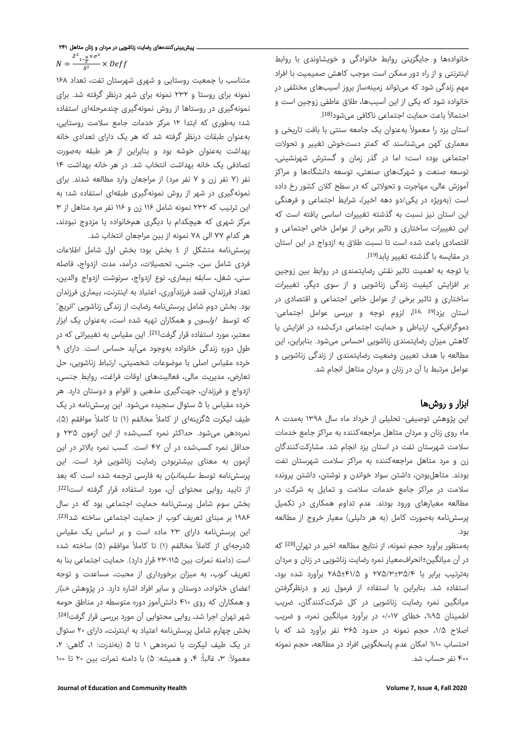خانوادهها و جایگزینی روابط خانوادگی و خویشاوندی با روابط اینترنتی و از راه دور ممکن است موجب کاهش صمیمیت با افراد مهم زندگی شود که میتواند زمینهساز بروز آسیبهای مختلفی در خانواده شود که یکی از این آسیبها، طلاق عاطفی زوجین است و احتمالاً باعث حمایت اجتماعی ناکافی میشود<sup>[18]</sup>.

استان یزد را معمولاً بهعنوان یک جامعه سنتی با بافت تاریخی و معماری کهن میشناسند که کمتر دستخوش تغییر و تحولات اجتماعی بوده است؛ اما در گذر زمان و گسترش شهرنشینی، توسعه صنعت و شهرکهای صنعتی، توسعه دانشگاهها و مر اکز آموزش عالی، مهاجرت و تحولاتی که در سطح کلان کشور رخ داده است (بهویژه در یکی/دو دهه اخیر)، شر ایط اجتماعی و فرهنگی این استان نیز نسبت به گذشته تغییرات اساسی یافته است که این تغییرات ساختاری و تاثیر برخی از عوامل خاص اجتماعی و اقتصادی باعث شده است تا نسبت طلاق به ازدواج در این استان در مقایسه با گذشته تغییر یابد<sup>[19]</sup>. .

با توجه به اهمیت تاثیر نقش رضایتمندی در روابط بین زوجین بر افزایش کیفیت زندگی زناشویی و از سوی دیگر، تغییر ات ساختاری و تاثیر برخی از عوامل خاص اجتماعی و اقتصادی در استان یزد<sup>[19 ,16</sup>]، لزوم توجه و بررسی عوامل اجتماعی-دموگرافیکی، ارتباطی و حمایت اجتماعی درکشده در افزایش یا کاهش میزان رضایتمندی زناشویی احساس میشود. بنابراین، این مطالعه با هدف تعیین وضعیت رضایتمندی از زندگی زناشویی و عوامل مرتبط با آن در زنان و مردان متاهل انجام شد.

# ابزار و روشها

این پژوهش توصیفی- تحلیلی از خرداد ماه سال ۱۳۹۸ بهمدت ۸ ماه روی زنان و مردان متاهل مراجعهکننده به مراکز جامع خدمات سلامت شهرستان تفت در استان یزد انجام شد. مشارکتکنندگان زن و مرد متاهل مراجعهکننده به مراکز سلامت شهرستان تفت بودند. متاهلبودن، داشتن سواد خواندن و نوشتن، داشتن پرونده سلامت در مراکز جامع خدمات سلامت و تمایل به شرکت در مطالعه معیارهای ورود بودند. عدم تداوم همکاری در تکمیل پرسشنامه بهصورت کامل (به هر دلیلی) معیار خروج از مطالعه بود.

که [20] بهمنظور برآورد حجم نمونه، از نتایج مطالعه اخیر در تهران در آن میانگین±انحرافمعیار نمره رضایت زناشویی در زنان و مردان بهترتیب برابر با ۲۷۵/۳±۳۵/۴ و ۲۸۵±۴۱/۵ برآورد شده بود، استفاده شد. بنابراین با استفاده از فرمول زیر و درنظرگرفتن میانگین نمره رضایت زناشویی در کل شرکتکنندگان، ضریب اطمینان ،%۹۵ خطای ۰/۰۱۷ در برآورد میانگین نمره، و ضریب اصلاح ،۱/۵ حجم نمونه در حدود ۳۶۵ نفر برآورد شد که با احتساب %۱۰ امکان عدم پاسخگویی افراد در مطالعه، حجم نمونه ۴۰۰ نفر حساب شد.

متناسب با جمعیت روستایی و شهری شهرستان تفت، تعداد ۱۶۸ نمونه برای روستا و ۲۳۲ نمونه برای شهر درنظر گرفته شد. برای نمونهگیری در روستاها از روش نمونهگیری چندمرحلهای استفاده شد؛ بهطوری که ابتدا ۱۲ مرکز خدمات جامع سلامت روستایی، بهعنوان طبقات درنظر گرفته شد که هر یک دارای تعدادی خانه بهداشت بهعنوان خوشه بود و بنابراین از هر طبقه بهصورت تصادفی یک خانه بهداشت انتخاب شد. در هر خانه بهداشت ۱۴ نفر (۷ نفر زن و ۷ نفر مرد) از مراجعان وارد مطالعه شدند. برای نمونهگیری در شهر از روش نمونهگیری طبقهای استفاده شد؛ به این ترتیب که ۲۳۲ نمونه شامل ۱۱۶ زن و ۱۱۶ نفر مرد متاهل از ۳ مرکز شهری که هیچکدام با دیگری همخانواده یا مزدوج نبودند، هر کدام ۷۷ الی ۷۸ نمونه از بین مراجعان انتخاب شد.

پرسشنامه متشکل از ٤ بخش بود؛ بخش اول شامل اطلاعات فردی شامل سن، جنس، تحصیلات، درآمد، مدت ازدواج، فاصله سنی، شغل، سابقه بیماری، نوع ازدواج، سرنوشت ازدواج والدین، تعداد فرزندان، قصد فرزندآوری، اعتیاد به اینترنت، بیماری فرزندان بود. بخش دوم شامل پرسشنامه رضایت از زندگی زناشویی "انریچ" که توسط *اولسون* و همکاران تهیه شده است، بهعنوان یک ابزار معتبر، مورد استفاده قرار گرفت<sup>[21]</sup>. این مقیاس به تغییراتی که در طول دوره زندگی خانواده بهوجود میآید حساس است. دارای ۹ خرده مقیاس اصلی با موضوعات شخصیتی، ارتباط زناشویی، حل تعارض، مدیریت مالی، فعالیتهای اوقات فراغت، روابط جنسی، ازدواج و فرزندان، جهتگیری مذهبی و اقوام و دوستان دارد. هر خرده مقیاس با ۵ سئوال سنجیده میشود. این پرسشنامه در یک طیف لیکرت ۵گزینهای از کاملاً مخالفم (۱) تا کاملاً موافقم (۵)، نمرهدهی میشود. حداکثر نمره کسبشده از این آزمون ۲۳۵ و حداقل نمره کسبشده در آن ۴۷ است. کسب نمره بالاتر در این آزمون به معنای بیشتربودن رضایت زناشویی فرد است. این پرسشنامه توسط *سلیمانیان* به فارسی ترجمه شده است که بعد از تایید روایی محتوای آن، مورد استفاده قرار گرفته است<sup>[22]</sup>. بخش سوم شامل پرسشنامه حمایت اجتماعی بود که در سال ۱۹۸۶ بر مبنای تعریف *کوب* از حمایت اجتماعی ساخته شد<sup>[23]</sup>. این پرسشنامه دارای ۲۳ ماده است و بر اساس یک مقیاس ۵درجهای از کاملاً مخالفم (۱) تا کاملاً موافقم (۵) ساخته شده است (دامنه نمرات بین ۲۳-۱۱۵ قرار دارد). حمایت اجتماعی بنا به تعریف کوب، به میزان برخورداری از محبت، مساعدت و توجه اعضای خانواده، دوستان و سایر افراد اشاره دارد. در پژوهش *خباز* و همکاران که روی ۴۱۰ دانشآموز دوره متوسطه در مناطق حومه .[24] شهر تهران اجرا شد، روایی محتوایی آن مورد بررسی قرار گرفت بخش چهارم شامل پرسشنامه اعتیاد به اینترنت، دارای ۲۰ سئوال در یک طیف لیکرت با نمرهدهی ۱ تا ۵ (بهندرت: ،۱ گاهی: ،۲ معمولاً: ۳، غالباً: ۴، و همیشه: ۵) با دامنه نمرات بین ۲۰ تا ۱۰۰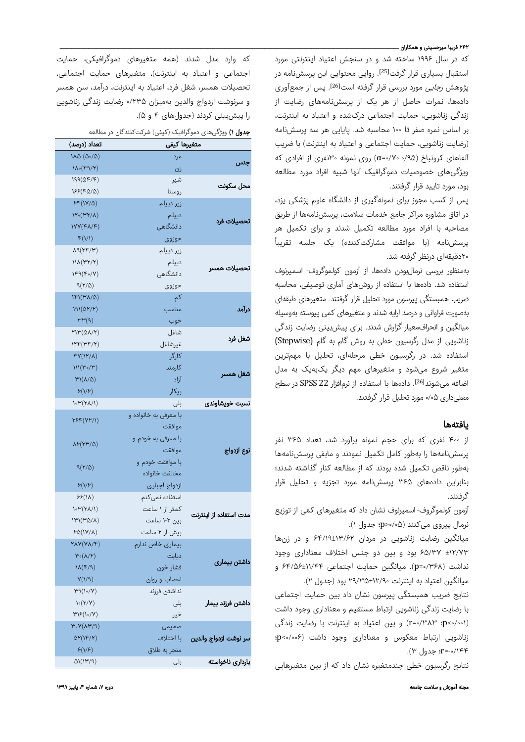### ۲۴۲ فریبا میرحسینی و همکاران ـ

که در سال ۱۹۹۶ ساخته شد و در سنجش اعتیاد اینترنتی مورد استقبال بسیاری قرار گرفت<sup>[25]</sup>. روایی محتوایی این پرسشiامه در یژوهش *رجایی* مورد بررسی قرار گرفته است<sup>[26]</sup>. پس از جمعآوری دادهها، نمرات حاصل از هر یک از پرسشنامههای رضایت از زندگی زناشویی، حمایت اجتماعی درکشده و اعتیاد به اینترنت، بر اساس نمره صفر تا ۱۰۰ محاسبه شد. پایایی هر سه پرسشنامه (رضایت زناشویی، حمایت اجتماعی و اعتیاد به اینترنت) با ضریب آلفاهای کرونباخ (۰/۹۵–۷۰۰ه=۵/۰) روی نمونه ۳۰نفری از افرادی که ویژگیهای خصوصیات دموگرافیک آنها شبیه افراد مورد مطالعه بود، مورد تایید قرار گرفتند.

پس از کسب مجوز برای نمونهگیری از دانشگاه علوم پزشکی یزد، در اتاق مشاوره مراکز جامع خدمات سلامت، پرسشنامهها از طریق مصاحبه با افراد مورد مطالعه تکمیل شدند و برای تکمیل هر ً پرسشنامه (با موافقت مشارکتکننده) یک جلسه تقری با ۲۰دقیقهای درنظر گرفته شد.

بهمنظور بررسی نرمالبودن دادهها، از آزمون کولموگروف- اسمیرنوف استفاده شد. دادهها با استفاده از روشهای آماری توصیفی، محاسبه ضریب همبستگی پیرسون مورد تحلیل قرار گرفتند. متغیرهای طبقهای بهصورت فراوانی و درصد ارایه شدند و متغیرهای کمی پیوسته بهوسیله میانگین و انحرافمعیار گزارش شدند. برای پیشبینی رضایت زندگی زناشویی از مدل رگرسیون خطی به روش گام به گام (Stepwise( استفاده شد. در رگرسیون خطی مرحلهای، تحلیل با مهمترین متغیر شروع میشود و متغیرهای مهم دیگر یکبهیک به مدل اضافه میشوند<sup>[26]</sup>. دادهها با استفاده از نرمافزار 22 SPSS در سطح معنیداری ۰/۰۵مورد تحلیل قرار گرفتند.

# یافتهها

از ۴۰۰ نفری که برای حجم نمونه برآورد شد، تعداد ۳۶۵ نفر پرسشنامهها را بهطور کامل تکمیل نمودند و مابقی پرسشنامهها بهطور ناقص تکمیل شده بودند که از مطالعه کنار گذاشته شدند؛ بنابراین دادههای ۳۶۵ پرسشنامه مورد تجزیه و تحلیل قرار گرفتند.

آزمون کولموگروف- اسمیرنوف ّ نشان داد که متغیرهای کمی از توزیع نرمال پیروی میکنند (۰/۰۵<p؛ جدول ١).

میانگین رضایت زناشویی در مردان ۶۴/۱۹±۱۳/۶۲ و در زنها ±۱۲/۷۳ ۶۵/۳۷ بود و بین دو جنس اختلاف معناداری وجود نداشت (۰/۳۶۸=p(. میانگین حمایت اجتماعی ۶۴/۵۶±۱۱/۴۴ و میانگین اعتیاد به اینترنت ۲۹/۳۵±۱۲/۹۰ بود (جدول ۲).

نتایج ضریب همبستگی پیرسون نشان داد بین حمایت اجتماعی با رضایت زندگی زناشویی ارتباط مستقیم و معناداری وجود داشت (۰/۰۰۱>p؛ ۰/۳۸۳=r (و بین اعتیاد به اینترنت با رضایت زندگی زناشویی ارتباط معکوس و معناداری وجود داشت (۰/۰۰۶>p؛ -۰/۱۴۴=r؛ جدول ۳).

نتایج رگرسیون خطی چندمتغیره نشان داد که از بین متغیرهایی

مجله آموزش و سلامت جامعه دوره ،۷ شماره ،۴ پاییز ۱۳۹۹

که وارد مدل شدند (همه متغیرهای دموگرافیکی، حمایت اجتماعی و اعتیاد به اینترنت)، متغیرهای حمایت اجتماعی، تحصیلات همسر، شغل فرد، اعتیاد به اینترنت، درآمد، سن همسر و سرنوشت ازدواج والدین بهمیزان ۰/۲۳۵ رضایت زندگی زناشویی را پیشبینی کردند (جدولهای ۴ و ۵).

جدول ۱) ویژگیهای دموگرافیک (کیفی) شرکتکنندگان در مطالعه

| $\sim$ לט יו ליילדים   | متغيرها كيفى          | تعداد (درصد)                                   |
|------------------------|-----------------------|------------------------------------------------|
|                        | مرد                   | $\lambda\Delta(\Delta\circ/\Delta)$            |
| جنس                    | زن                    | $1\Lambda \circ (F9/Y)$                        |
|                        | شهر                   | $199(\Delta F/F)$                              |
| محل سكونت              | روستا                 | $155(F\Delta/\Delta)$                          |
|                        | زیر دیپلم             | $SF(1Y/\Delta)$                                |
| تحصيلات فرد            | ديپلم                 | $N\cdot (TY/\Lambda)$                          |
|                        | دانشگاهی              | NY(FA/F)                                       |
|                        | حوزوى                 | F(1/1)                                         |
|                        | زیر دیپلم             | $\Lambda$ 9(٢۴/٣)                              |
|                        | ديپلم                 | $\mathcal{N}(\mathcal{M}(\mathcal{M})^{\vee})$ |
| تحصيلات همسر           | دانشگاهی              | $1F9(F_0/Y)$                                   |
|                        | حوزوى                 | $9(Y/\Delta)$                                  |
| درآمد                  | کم                    | $IFI(V^{\prime}A/\Delta)$                      |
|                        | مناسب                 | $191(\Delta Y/Y)$                              |
|                        | خوب                   | $\mu\mu(\alpha)$                               |
|                        | شاغل                  | $YIP(\Delta\lambda/Y)$                         |
| شغل فرد                | غيرشاغل               | $IYP(\Psi F/Y)$                                |
| شغل همسر               | کارگر                 | $FY(1Y/\lambda)$                               |
|                        | كارمند                | $III(\mu_{\circ}/\mu)$                         |
|                        | آزاد                  | $M(\Lambda/\Delta)$                            |
|                        | بیکار                 | $\mathcal{S}(1/\mathcal{F})$                   |
| نسبت خويشاوندى         | بلی                   | $\mathcal{N}(\mathcal{V}(\mathcal{N}))$        |
|                        | با معرفی به خانواده و |                                                |
|                        | موافقت                | ٢۶۴ (٧٢/١)                                     |
|                        | با معرفی به خودم و    |                                                |
| نوع ازدواج             | موافقت                | $\lambda$ ۶(۲۳/۵)                              |
|                        | با موافقت خودم و      |                                                |
|                        | مخالفت خانواده        | $9(Y/\Delta)$                                  |
|                        | ازدواج اجبارى         | S(Y/S)                                         |
|                        | استفاده نمىكنم        | 55(1)                                          |
|                        | کمتر از ۱ ساعت        | $\mathcal{N}(\mathcal{V}(\mathcal{N}))$        |
| مدت استفاده از اینترنت | بین ۲-۱ ساعت          | $1\mathsf{H}'(\mathsf{H}\Delta/\Lambda)$       |
|                        | بیش از ۲ ساعت         | $SO(1Y/\Lambda)$                               |
|                        | بیماری خاص ندارم      | $YAY(Y\lambda/F)$                              |
|                        | ديابت                 | $\mathsf{P}^\circ(\lambda/\mathsf{Y})$         |
| داشتن بيمارى           | فشار خون              | $1\lambda(F/9)$                                |
|                        | اعصاب و روان          | Y(1/9)                                         |
|                        | نداشتن فرزند          | $\mu_{\theta}(\nu/\nu)$                        |
| داشتن فرزند بيمار      | بلی                   | $\mathcal{N}(\mathcal{Y}/\mathcal{Y})$         |
|                        | خير                   | $\mu\mathcal{S}(\mathcal{N})$                  |
| سر نوشت ازدواج والدين  | صميمى                 | $\mu \circ \gamma(\lambda \mu / \alpha)$       |
|                        | با اختلاف             | $\Delta Y(1F/Y)$                               |
|                        | منجر به طلاق          | $\mathcal{S}(1/\mathcal{S})$                   |
| باردارى ناخواسته       | بلی                   | (۱۳/۹)                                         |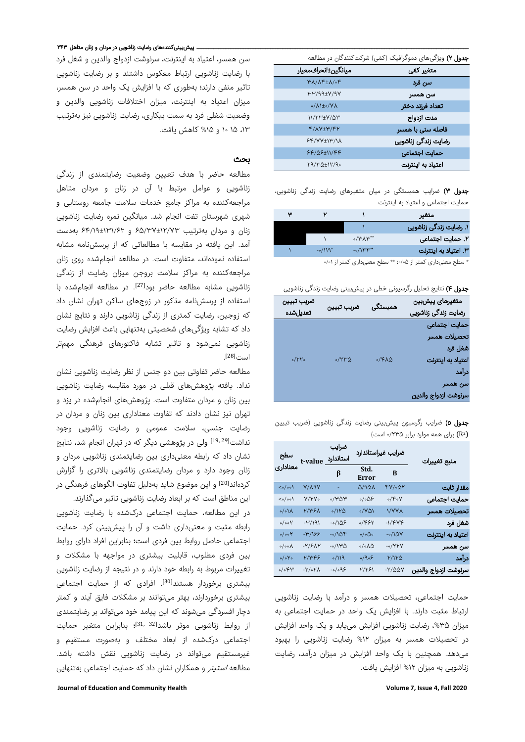|                                      | جدول ۲) ویژگیهای دموگرافیک (کمّی) شرکتکنندگان در مطالعه |
|--------------------------------------|---------------------------------------------------------|
| ميانگين±انحرافمعيار                  | متغیر کمی                                               |
| $M/\Lambda F + \Lambda/\delta F$     | سن فرد                                                  |
| $W''$ /99+ $V$ /9Y                   | سن همسر                                                 |
| $o/\Lambda$ 1+ $o/\mathrm{V}\Lambda$ | تعداد فرزند دختر                                        |
| $11/YW+V/\Delta W$                   | مدت ازدواج                                              |
| $F/AY+Y/FY$                          | فاصله سنی با همسر                                       |
| $5F/VV+UV/NA$                        | رضایت زندگی زناشویی                                     |
| $5F/\Delta 5+11/FF$                  | حمايت اجتماعي                                           |
| $Y9/Y^{\Delta+1}Y^{\alpha}$          | اعتياد به اينترنت                                       |

جدول ۳) ضرایب همبستگی در میان متغیرهای رضایت زندگی زناشویی، حمایت اجتماعی و اعتیاد به اینترنت

| متغير                  |                         |           | Ψ |
|------------------------|-------------------------|-----------|---|
| ۱. رضایت زندگی زناشویی |                         |           |   |
| ٢. حمایت اجتماعی       | $\circ$ /۳ $\Lambda$ ۳* |           |   |
| ٣. اعتياد به اينترنت   | $-0/1$ $\kappa$ **      | $-0/119*$ |   |

\* سطح معنیداری کمتر از ۰/۰۵؛ \*\* سطح معنیداری کمتر از ۰/۰۱

جدول ۴) نتایج تحلیل رگرسیونی خطی در پیشبینی رضایت زندگی زناشویی

| ضريب تبيين<br>تعديلشده | ضريب تبيين      | همبستگی            | متغيرهاى پيشبين<br>رضایت زندگی زناشویی |
|------------------------|-----------------|--------------------|----------------------------------------|
|                        |                 |                    | حمايت اجتماعى                          |
|                        |                 |                    | تحصيلات همسر                           |
|                        |                 |                    | شغل فرد                                |
| $0/YY_0$               | $0/YW$ $\Delta$ | $0/F\Lambda\Delta$ | اعتياد به اينترنت                      |
|                        |                 |                    | درآمد                                  |
|                        |                 |                    | سن همسر                                |
|                        |                 |                    | سرنوشت ازدواج والدين                   |

جدول ٥) ضرایب رگرسیون پیشبینی رضایت زندگی زناشویی (ضریب تبیین R (برای همه موارد برابر ۰/۲۳۵ است) 2(

| منبع تغييرات         | ضرايب غيراستاندارد   |                                | ضرايب                        | سطح<br>استاندارد t-value<br>معناداری |                                       |
|----------------------|----------------------|--------------------------------|------------------------------|--------------------------------------|---------------------------------------|
|                      | B                    | Std.<br>Error                  | β                            |                                      |                                       |
| مقدار ثابت           | ۴۷/۰۵۲               | Q/AQV                          |                              | V/V9V                                | $\langle \circ / \circ \circ \rangle$ |
| حمايت اجتماعى        | $\circ$ /۴ $\circ$ ۷ | $\circ/\circ\Delta\mathcal{S}$ | ۷۳۵۳،                        | Y/YY                                 | $\langle \circ / \circ \circ \rangle$ |
| تحصيلات همسر         | <b>\/YYA</b>         | $\circ$ /YQ)                   | $\circ / \mathcal{W} \Delta$ | <b>Y/۳۶۸</b>                         | $\sqrt{\cdot}$                        |
| شغل فرد              | $-1/FVF$             | ۶۶۲ه                           | -0/10۶                       | $-14/4$                              | $\circ/\circ\circ\mathsf{Y}$          |
| اعتياد به اينترنت    | $-0/10V$             | $\circ/\circ\Delta\circ$       | $-0/10F$                     | -۳/۱۶۶                               | $\circ / \circ \circ \mathcal{V}$     |
| سن همسر              | $-0/YYV$             | $\circ/\circ\Lambda\Delta$     | ۵۳/۱۳-                       | $-Y$ /۶ $\Lambda$ ۲                  | $\circ / \circ \circ \Lambda$         |
| درآمد                | ۲/۱۲۵                | $\circ$ /۹ $\circ$ ۶           | 9/119                        | 7/٣۴۶                                | $\circ/\circ Y \circ$                 |
| سرنوشت ازدواج والدين | $-Y/\Delta\Delta V$  | 1/191                          | $-\circ/\circ$ 9.5           | $-Y \circ Y \wedge$                  | $\circ/\circ$ ۴۳                      |

حمایت اجتماعی، تحصیلات همسر و درآمد با رضایت زناشویی ارتباط مثبت دارند. با افزایش یک واحد در حمایت اجتماعی به میزان ۳۵%، رضایت زناشویی افزایش می،یابد و یک واحد افزایش در تحصیلات همسر به میزان %۱۲ رضایت زناشویی را بهبود میدهد. همچنین با یک واحد افزایش در میزان درآمد، رضایت زناشویی به میزان %۱۲ افزایش یافت.

سن همسر، اعتیاد به اینترنت، سرنوشت ازدواج والدین و شغل فرد با رضایت زناشویی ارتباط معکوس داشتند و بر رضایت زناشویی تاثیر منفی دارند؛ بهطوری که با افزایش یک واحد در سن همسر، میزان اعتیاد به اینترنت، میزان اختلافات زناشویی والدین و وضعیت شغلی فرد به سمت بیکاری، رضایت زناشویی نیز بهترتیب ،۱۳ ۱۵ ۱۰ و %۱۵ کاهش یافت.

#### بحث

مطالعه حاضر با هدف تعیین وضعیت رضایتمندی از زندگی زناشویی و عوامل مرتبط با آن در زنان و مردان متاهل مراجعهکننده به مراکز جامع خدمات سلامت جامعه روستایی و شهری شهرستان تفت انجام شد. میانگین نمره رضایت زناشویی زنان و مردان بهترتیب ۶۵/۳۷±۱۲/۷۳ و ۶۴/۱۹±۱۳۱/۶۲ بهدست آمد. این یافته در مقایسه با مطالعاتی که از پرسشنامه مشابه استفاده نمودهاند، متفاوت است. در مطالعه انجامشده روی زنان مراجعهکننده به مراکز سلامت بروجن میزان رضایت از زندگی زناشویی مشابه مطالعه حاضر بود<sup>[27]</sup>. در مطالعه انجامشده با استفاده از پرسشنامه مذکور در زوجهای ساکن تهران نشان داد که زوجین، رضایت کمتری از زندگی زناشویی دارند و نتایج نشان داد که تشابه ویژگیهای شخصیتی بهتنهایی باعث افزایش رضایت ز ناشویی نمیشود و تاثیر تشابه فاکتورهای فرهنگی مهمتر . [28] است

مطالعه حاضر تفاوتی بین دو جنس از نظر ر ضایت ز ناشویی نشان نداد. یافته پژوهشهای قبلی در مورد مقایسه رضایت زناشویی بین زنان و مردان متفاوت است. پژوهشهای انجامشده در یزد و تهران نیز نشان دادند که تفاوت معناداری بین زنان و مردان در ر ضایت جنسی، سلامت عمومی و ر ضایت ز ناشویی وجود نداشت<sup>[19, 29]</sup> ولی در پژوهشی دیگر که در تهران انجام شد، نتایج نشان داد که رابطه معنیداری بین رضایتمندی زناشویی مردان و زنان وجود دارد و مردان رضایتمندی زناشویی بالاتری را گزارش کردهاند<sup>[20]</sup> و این موضوع شاید بهدلیل تفاوت الگوهای فرهنگی در این مناطق است که بر ابعاد رضایت زناشویی تاثیر میگذارند.

در این مطالعه، حمایت اجتماعی درکشده با رضایت زناشویی رابطه مثبت و معنیداری داشت و آن را پیشبینی کرد. حمایت اجتماعی حاصل روابط بین فردی است؛ بنابراین افراد دارای روابط بین فردی مطلوب، قابلیت بیشتری در مواجهه با مشکلات و تغییرات مربوط به رابطه خود دارند و در نتیجه از رضایت زناشویی بیشتری برخوردار هستند<sup>[30]</sup>. افرادی که از حمایت اجتماعی بیشتری برخوردارند، بهتر میتوانند بر مشکلات فایق آیند و کمتر دچار افسر دگی میشوند که این پیامد خود میتواند بر رضایتمندی از روابط زناشویی موثر باشد<sup>[31, 32]</sup>؛ بنابراین متغیر حمایت اجتماعی درکشده از ابعاد مختلف و بهصورت مستقیم و غیرمستقیم میتواند در رضایت زناشویی نقش داشته باشد. مطالعه *استین*ر و همکاران نشان داد که حمایت اجتماعی بهتنهایی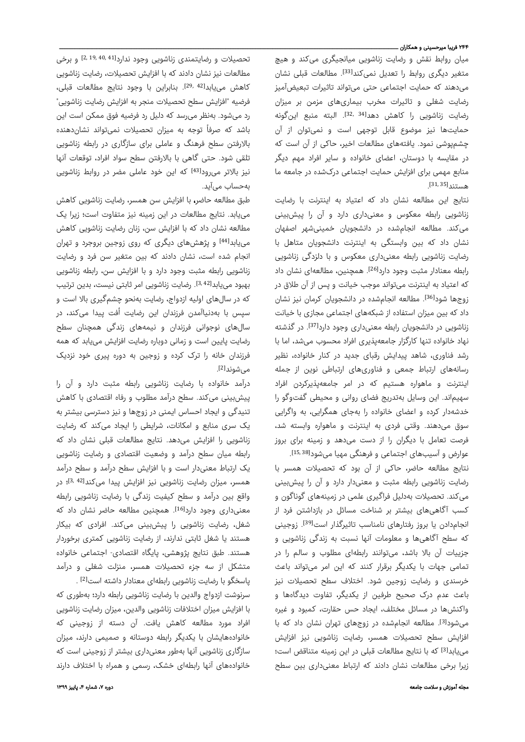## ۲۴۴ فریبا میرحسینی و همکاران ـــ

میان روابط نقش و رضایت زناشویی میانجیگری میکند و هیچ متغیر دیگری روابط را تعدیل نمیکند<sup>[33]</sup>. مطالعات قبلی نشان میدهند که حمایت اجتماعی حتی میتواند تاثیرات تبعیضآمیز رضایت شغلی و تاثیرات مخرب بیماریهای مزمن بر میزان رضایت زناشویی را کاهش دهد<sup>[34 34</sup>. البته منبع اینگونه حمایتها نیز موضوع قابل توجهی است و نمیتوان از آن چشمپوشی نمود. یافتههای مطالعات اخیر، حاکی از آن است که در مقایسه با دوستان، اعضای خانواده و سایر افراد مهم دیگر منابع مهمی برای افزایش حمایت اجتماعی درکشده در جامعه ما . [31, 35] هستند

نتایج این مطالعه نشان داد که اعتیاد به اینترنت با رضایت زناشویی رابطه معکوس و معنیداری دارد و آن را پیشبینی میکند. مطالعه انجامشده در دانشجویان خمینیشهر اصفهان نشان داد که بین وابستگی به اینترنت دانشجویان متاهل با رضایت زناشویی رابطه معنیداری معکوس و با دلزدگی زناشویی رابطه معنادار مثبت وجود دارد<sup>[26]</sup>. همچنین، مطالعهای نشان داد که اعتیاد به اینترنت میتواند موجب خیانت و پس از آن طلاق در زوجها شود<sup>[36]</sup>. مطالعه انجامشده در دانشجویان کرمان نیز نشان داد که بین میزان استفاده از شبکههای اجتماعی مجازی با خیانت زناشویی در دانشجویان رابطه معنیداری وجود دارد<sup>[37]</sup>. در گذشته نهاد خانواده تنها کارگزار جامعهپذیری افراد محسوب میشد، اما با رشد فناور ی، شاهد پیدایش رقبای جدید در کنار خانواده، نظیر رسانههای ارتباط جمعی و فناوریهای ارتباطی نوین از جمله اینترنت و ماهواره هستیم که در امر جامعهپذیرکردن افراد سهیماند. این وسایل بهتدریج فضای روانی و محیطی گفتوگو را خدشهدار کرده و اعضای خانواده را بهجای همگرایی، به واگرایی سوق میدهند. وقتی فردی به اینترنت و ماهواره وابسته شد، فرصت تعامل با دیگران را از دست میدهد و زمینه برای بروز

عوارض و آسیبهای اجتماعی و فرهنگی مهیا میشود<sup>[15,38]</sup>. نتایج مطالعه حاضر، حاکی از آن بود که تحصیلات همسر با رضایت زناشویی رابطه مثبت و معنیدار دارد و آن را پیشبینی میکند. تحصیلات بهدلیل فراگیر ی علمی در زمینههای گوناگون و کسب آگاهیهای بیشتر بر شناخت مسائل در بازداشتن فرد از انجامدادن یا بروز رفتارهای نامناسب تاثیرگذار است<sup>[39]</sup>. زوجینی که سطح آگاهیها و معلومات آنها نسبت به زندگی زناشویی و جزییات آن بالا باشد، میتوانند رابطهای مطلوب و سالم را در تمامی جهات با یکدیگر برقرار کنند که این امر میتواند باعث خرسندی و رضایت زوجین شود. اختلاف سطح تحصیلات نیز باعث عدم درک صحیح طرفین از یکدیگر، تفاوت دیدگاهها و واکنشها در مسائل مختلف، ایجاد حس حقارت، کمبود و غیره میشود<sup>[3]</sup>. مطالعه انجامشده در زوجهای تهران نشان داد که با افزایش سطح تحصیلات همسر، رضایت زناشویی نیز افزایش مییابد<sup>[3]</sup> که با نتایج مطالعات قبلی در این زمینه متناقض است؛ زیرا برخی مطالعات نشان دادند که ارتباط معنیداری بین سطح

تحصیلات و رضایتمندی زناشویی وجود ندارد<sup>[41 ,19, 2,</sup>19] و برخی مطالعات نیز نشان دادند که با افزایش تحصیلات، رضایت زناشویی كاهش مییابد<sup>[42,42]</sup>. بنابراین با وجود نتایج مطالعات قبلی، فرضیه "افزایش سطح تحصیلات منجر به افزایش رضایت زناشویی" رد میشود. بهنظر میرسد که دلیل رد فرضیه فوق ممکن است این باشد که صرفاً توجه به میزان تحصیلات نمیتواند نشاندهنده بالارفتن سطح فرهنگ و عاملی برای سازگاری در رابطه زناشویی تلقی شود. حتی گاهی با بالارفتن سطح سواد افراد، توقعات آنها نیز بالاتر میرود<sup>[43]</sup> که این خود عاملی مضر در روابط زناشویی بهحساب میآید.

طبق مطالعه حاضر، با افزایش سن همسر، رضایت زناشویی کاهش مییابد. نتایج مطالعات در این زمینه نیز متفاوت است؛ زیرا یک مطالعه نشان داد که با افزایش سن، زنان رضایت زناشویی کاهش مییابدا $^{\{44\}}$  و پژهشهای دیگری که روی زوجین بروجرد و تهران انجام شده است، نشان دادند که بین متغیر سن فرد و رضایت زناشویی رابطه مثبت وجود دارد و با افزایش سن، رابطه زناشویی بهبود مییابدا<sup>3, 42]</sup>. رضایت زناشویی امر ثابتی نیست، بدین ترتیب که در سالهای اولیه ازدواج، ر ضایت بهنحو چشمگیری بالا است و سپس با بهدنیاآمدن فرزندان این رضایت اُفت پیدا میکند، در ُ سالهای نوجوانی فرزندان و نیمههای زندگی همچنان سطح رضایت پایین است و زمانی دوباره رضایت افزایش مییابد که همه فرزندان خانه را ترک کرده و زوجین به دوره پیری خود نزدیک می شوند<sup>[2]</sup>. .

درآمد خانواده با رضایت زناشویی رابطه مثبت دارد و آن را پیشبینی میکند. سطح درآمد مطلوب و رفاه اقتصادی با کاهش تنیدگی و ایجاد احساس ایمنی در زوجها و نیز دسترسی بیشتر به یک سری منابع و امکانات، شرایطی را ایجاد میکند که رضایت زناشویی را افزایش میدهد. نتایج مطالعات قبلی نشان داد که رابطه میان سطح درآمد و وضعیت اقتصادی و رضایت زناشویی یک ارتباط معنیدار است و با افزایش سطح درآمد و سطح درآمد همسر، میزان رضایت زناشویی نیز افزایش پیدا میکند<sup>[42, 3</sup>؛ در واقع بین درآمد و سطح کیفیت زندگی با رضایت زناشویی رابطه معنیداری وجود دارد<sup>[16]</sup>. همچنین مطالعه حاضر نشان داد که شغل، رضایت زناشویی را پیشبینی میکند. افرادی که بیکار هستند یا شغل ثابتی ندارند، از رضایت زناشویی کمتری برخوردار هستند. طبق نتایج پژوهشی، پایگاه اقتصادی- اجتماعی خانواده متشکل از سه جزء تحصیلات همسر، منزلت شغلی و درآمد پاسخگو با رضایت زناشویی رابطهای معنادار داشته است<sup>[2]</sup> .

سرنوشت ازدواج والدین با رضایت زناشویی رابطه دارد؛ بهطوری که با افزایش میزان اختلافات زناشویی والدین، میزان رضایت زناشویی افراد مورد مطالعه کاهش یافت. آن دسته از زوجینی که خانوادههایشان با یکدیگر رابطه دوستانه و صمیمی دارند، میزان سازگاری زناشویی آنها بهطور معنیداری بیشتر از زوجینی است که خانوادههای آنها رابطهای خشک، رسمی و همراه با اختلاف دارند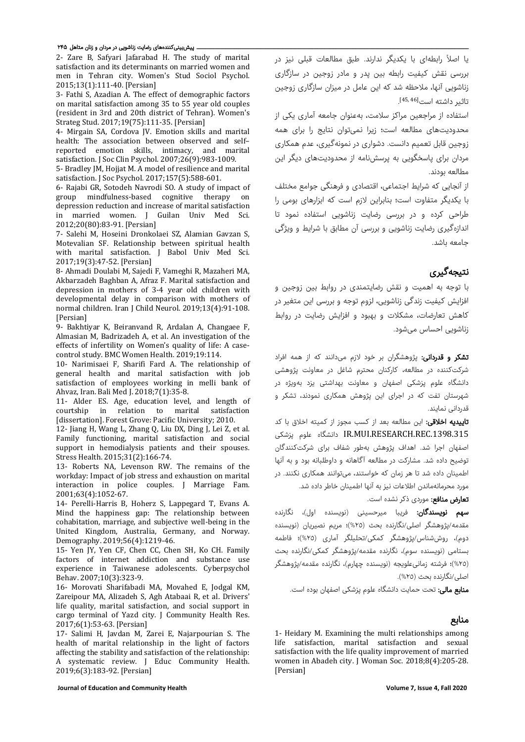#### ــ پیشبینیکنندههای رضایت زناشویی در مردان و زنان متاهل ۲۴۵

2- Zare B, Safyari Jafarabad H. The study of marital satisfaction and its determinants on married women and men in Tehran city. Women's Stud Sociol Psychol. 2015;13(1):111-40. [Persian]

3- Fathi S, Azadian A. The effect of demographic factors on marital satisfaction among 35 to 55 year old couples (resident in 3rd and 20th district of Tehran). Women's Strateg Stud. 2017;19(75):111-35. [Persian]

4- Mirgain SA, Cordova JV. Emotion skills and marital health: The association between observed and self– reported emotion skills, intimacy, and marital satisfaction. J Soc Clin Psychol. 2007;26(9):983-1009.

5- Bradley JM, Hojjat M. A model of resilience and marital satisfaction. J Soc Psychol. 2017;157(5):588-601.

6- Rajabi GR, Sotodeh Navrodi SO. A study of impact of group mindfulness-based cognitive therapy on depression reduction and increase of marital satisfaction<br>in married women. I Guilan Univ Med Sci. in married women. J Guilan Univ 2012;20(80):83-91. [Persian]

7- Salehi M, Hoseini Dronkolaei SZ, Alamian Gavzan S, Motevalian SF. Relationship between spiritual health with marital satisfaction. J Babol Univ Med Sci. 2017;19(3):47-52. [Persian]

8- Ahmadi Doulabi M, Sajedi F, Vameghi R, Mazaheri MA, Akbarzadeh Baghban A, Afraz F. Marital satisfaction and depression in mothers of 3-4 year old children with developmental delay in comparison with mothers of normal children. Iran J Child Neurol. 2019;13(4):91-108. [Persian]

9- Bakhtiyar K, Beiranvand R, Ardalan A, Changaee F, Almasian M, Badrizadeh A, et al. An investigation of the effects of infertility on Women's quality of life: A casecontrol study. BMC Women Health. 2019;19:114.

10- Narimisaei F, Sharifi Fard A. The relationship of general health and marital satisfaction with job satisfaction of employees working in melli bank of Ahvaz, Iran. Bali Med J. 2018;7(1):35-8.

11- Alder ES. Age, education level, and length of courtship in relation to marital satisfaction marital satisfaction [dissertation]. Forest Grove: Pacific University; 2010.

12- Jiang H, Wang L, Zhang Q, Liu DX, Ding J, Lei Z, et al. Family functioning, marital satisfaction and social support in hemodialysis patients and their spouses. Stress Health. 2015;31(2):166-74.

13- Roberts NA, Levenson RW. The remains of the workday: Impact of job stress and exhaustion on marital interaction in police couples. J Marriage Fam. 2001;63(4):1052-67.

14- Perelli-Harris B, Hoherz S, Lappegard T, Evans A. Mind the happiness gap: The relationship between cohabitation, marriage, and subjective well-being in the United Kingdom, Australia, Germany, and Norway. Demography. 2019;56(4):1219-46.

15- Yen JY, Yen CF, Chen CC, Chen SH, Ko CH. Family factors of internet addiction and substance use experience in Taiwanese adolescents. Cyberpsychol Behav. 2007;10(3):323-9.

16- Morovati Sharifabadi MA, Movahed E, Jodgal KM, Zareipour MA, Alizadeh S, Agh Atabaai R, et al. Drivers' life quality, marital satisfaction, and social support in cargo terminal of Yazd city. J Community Health Res. 2017;6(1):53-63. [Persian]

17- Salimi H, Javdan M, Zarei E, Najarpourian S. The health of marital relationship in the light of factors affecting the stability and satisfaction of the relationship: A systematic review. J Educ Community Health. 2019;6(3):183-92. [Persian]

**Journal of Education and Community Health Volume 7, Issue 4, Fall 2020**

با اصلاً رابطهای با یکدیگر ندارند. طبق مطالعات قبلی نیز در برر سی نقش کیفیت رابطه بین پدر و مادر زوجین در ساز گاری زناشویی آنها، ملاحظه شد که این عامل در میزان سازگاری زوجین تاثیر داشته است<sup>[45,46</sup>].

استفاده از مراجعین مراکز سلامت، بهعنوان جامعه آماری یکی از محدودیتهای مطالعه است؛ زیرا نمیتوان نتایج را برای همه زوجین قابل تعمیم دانست. دشوار ی در نمونهگیری، عدم همکار ی مردان برای پاسخگویی به پرسشنامه از محدودیتهای دیگر این مطالعه بودند.

از آنجایی که شر ایط اجتماعی، اقتصادی و فرهنگی جوامع مختلف با یکدیگر متفاوت است؛ بنابراین لازم است که ابزارهای بومی را طراحی کرده و در بررسی رضایت زناشویی استفاده نمود تا اندازهگیری رضایت زناشویی و بررسی آن مطابق با شرایط و ویژگی جامعه باشد.

# نتیجهگیری

با توجه به اهمیت و نقش رضایتمندی در روابط بین زوجین و افزایش کیفیت زندگی زناشویی، لزوم توجه و بررسی این متغیر در کاهش تعارضات، مشکلات و بهبود و افزایش رضایت در روابط زناشویی احساس میشود.

**تشکر و قدردانی:** پژوهشگران بر خود لازم میدانند که از همه افراد شرکتکننده در مطالعه، کارکنان محترم شاغل در معاونت پژوهشی دانشگاه علوم پزشکی اصفهان و معاونت بهداشتی یزد بهویژه در شهرستان تفت که در اجرای این پژوهش همکاری نمودند، تشکر و قدردانی نمایند.

تاییدیه اخلاقی: این مطالعه بعد از کسب مجوز از کمیته اخلاق با کد پزشکی علوم دانشگاه IR.MUI.RESEARCH.REC.1398.315 اصفهان اجرا شد. اهداف پژوهش بهطور شفاف برای شرکتکنندگان توضیح داده شد. مشارکت در مطالعه آگاهانه و داوطلبانه بود و به آنها اطمینان داده شد تا هر زمان که خواستند، میتوانند همکاری نکنند. در مورد محرمانهماندن اطلاعات نیز به آنها اطمینان خاطر داده شد.

**تعارض منافع:** موردی ذکر نشده است.

**سهم نویسندگان:** فریبا میرحسینی (نویسنده اول)، نگارنده مقدمه/پژوهشگر اصلی/نگارنده بحث (%٢٥)؛ مریم نصیریان (نویسنده دوم)، روششناس/پژوهشگر کمکی/تحلیلگر آماری (%٢٥)؛ فاطمه بستامی (نویسنده سوم)، نگارنده مقدمه/پژوهشگر کمکی/نگارنده بحث (%٢٥)؛ فرشته زمانیعلویجه (نویسنده چهارم)، نگارنده مقدمه/پژوهشگر اصلی/نگارنده بحث (%٢٥).

م**نابع مالی:** تحت حمایت دانشگاه علوم پزشکی اصفهان بوده است.

# منابع

1- Heidary M. Examining the multi relationships among life satisfaction, marital satisfaction and sexual satisfaction with the life quality improvement of married women in Abadeh city. J Woman Soc. 2018;8(4):205-28. [Persian]